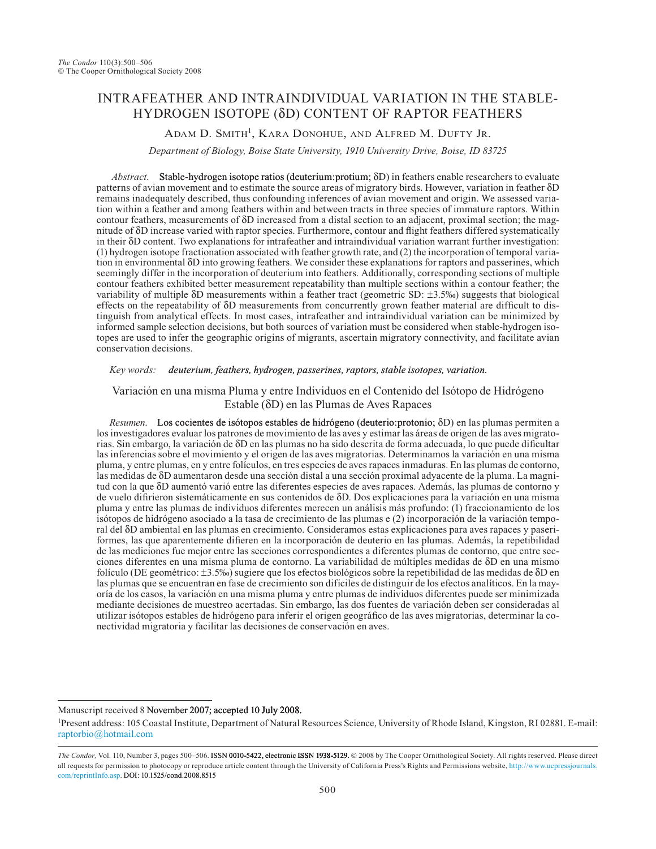# INTRAFEATHER AND INTRAINDIVIDUAL VARIATION IN THE STABLE-HYDROGEN ISOTOPE ( $\delta$ D) CONTENT OF RAPTOR FEATHERS

# ADAM D. SMITH<sup>1</sup>, KARA DONOHUE, AND ALFRED M. DUFTY JR.

*Department of Biology, Boise State University, 1910 University Drive, Boise, ID 83725*

*Abstract*. Stable-hydrogen isotope ratios (deuterium:protium;  $\delta D$ ) in feathers enable researchers to evaluate patterns of avian movement and to estimate the source areas of migratory birds. However, variation in feather  $\delta D$ remains inadequately described, thus confounding inferences of avian movement and origin. We assessed variation within a feather and among feathers within and between tracts in three species of immature raptors. Within contour feathers, measurements of  $\delta D$  increased from a distal section to an adjacent, proximal section; the magnitude of  $\delta D$  increase varied with raptor species. Furthermore, contour and flight feathers differed systematically in their  $\delta D$  content. Two explanations for intrafeather and intraindividual variation warrant further investigation: (1) hydrogen isotope fractionation associated with feather growth rate, and (2) the incorporation of temporal variation in environmental  $\delta D$  into growing feathers. We consider these explanations for raptors and passerines, which seemingly differ in the incorporation of deuterium into feathers. Additionally, corresponding sections of multiple contour feathers exhibited better measurement repeatability than multiple sections within a contour feather; the variability of multiple  $\delta D$  measurements within a feather tract (geometric SD:  $\pm 3.5\%$ ) suggests that biological effects on the repeatability of  $\delta D$  measurements from concurrently grown feather material are difficult to distinguish from analytical effects. In most cases, intrafeather and intraindividual variation can be minimized by informed sample selection decisions, but both sources of variation must be considered when stable-hydrogen isotopes are used to infer the geographic origins of migrants, ascertain migratory connectivity, and facilitate avian conservation decisions.

# *Key words:* deuterium, feathers, hydrogen, passerines, raptors, stable isotopes, variation.

# Variación en una misma Pluma y entre Individuos en el Contenido del Isótopo de Hidrógeno Estable  $(\delta D)$  en las Plumas de Aves Rapaces

*Resumen*. Los cocientes de isótopos estables de hidrógeno (deuterio:protonio;  $\delta D$ ) en las plumas permiten a los investigadores evaluar los patrones de movimiento de las aves y estimar las áreas de origen de las aves migratorias. Sin embargo, la variación de δD en las plumas no ha sido descrita de forma adecuada, lo que puede dificultar las inferencias sobre el movimiento y el origen de las aves migratorias. Determinamos la variación en una misma pluma, y entre plumas, en y entre folículos, en tres especies de aves rapaces inmaduras. En las plumas de contorno, las medidas de  $\delta D$  aumentaron desde una sección distal a una sección proximal adyacente de la pluma. La magnitud con la que  $\delta D$  aumentó varió entre las diferentes especies de aves rapaces. Además, las plumas de contorno y de vuelo difirieron sistemáticamente en sus contenidos de DD. Dos explicaciones para la variación en una misma pluma y entre las plumas de individuos diferentes merecen un análisis más profundo: (1) fraccionamiento de los isótopos de hidrógeno asociado a la tasa de crecimiento de las plumas e (2) incorporación de la variación temporal del  $\delta$ D ambiental en las plumas en crecimiento. Consideramos estas explicaciones para aves rapaces y paseriformes, las que aparentemente difieren en la incorporación de deuterio en las plumas. Además, la repetibilidad de las mediciones fue mejor entre las secciones correspondientes a diferentes plumas de contorno, que entre secciones diferentes en una misma pluma de contorno. La variabilidad de múltiples medidas de DD en una mismo folículo (DE geométrico: ±3.5‰) sugiere que los efectos biológicos sobre la repetibilidad de las medidas de  $\delta$ D en las plumas que se encuentran en fase de crecimiento son difíciles de distinguir de los efectos analíticos. En la mayoría de los casos, la variación en una misma pluma y entre plumas de individuos diferentes puede ser minimizada mediante decisiones de muestreo acertadas. Sin embargo, las dos fuentes de variación deben ser consideradas al utilizar isótopos estables de hidrógeno para inferir el origen geográfico de las aves migratorias, determinar la conectividad migratoria y facilitar las decisiones de conservación en aves.

Manuscript received 8 November 2007; accepted 10 July 2008.

<sup>1</sup>Present address: 105 Coastal Institute, Department of Natural Resources Science, University of Rhode Island, Kingston, RI 02881. E-mail: raptorbio@hotmail.com

The Condor, Vol. 110, Number 3, pages 500-506. ISSN 0010-5422, electronic ISSN 1938-5129. @ 2008 by The Cooper Ornithological Society. All rights reserved. Please direct all requests for permission to photocopy or reproduce article content through the University of California Press's Rights and Permissions website, http://www.ucpressjournals. com/reprintInfo.asp. DOI: 10.1525/cond.2008.8515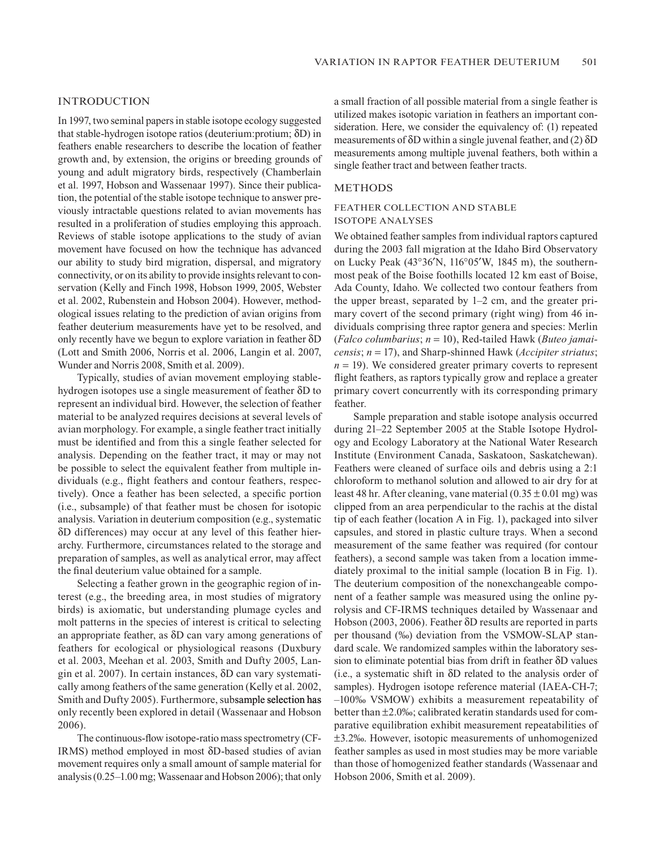## INTRODUCTION

In 1997, two seminal papers in stable isotope ecology suggested that stable-hydrogen isotope ratios (deuterium: protium;  $\delta D$ ) in feathers enable researchers to describe the location of feather growth and, by extension, the origins or breeding grounds of young and adult migratory birds, respectively (Chamberlain et al. 1997, Hobson and Wassenaar 1997). Since their publication, the potential of the stable isotope technique to answer previously intractable questions related to avian movements has resulted in a proliferation of studies employing this approach. Reviews of stable isotope applications to the study of avian movement have focused on how the technique has advanced our ability to study bird migration, dispersal, and migratory connectivity, or on its ability to provide insights relevant to conservation (Kelly and Finch 1998, Hobson 1999, 2005, Webster et al. 2002, Rubenstein and Hobson 2004). However, methodological issues relating to the prediction of avian origins from feather deuterium measurements have yet to be resolved, and only recently have we begun to explore variation in feather  $\delta D$ (Lott and Smith 2006, Norris et al. 2006, Langin et al. 2007, Wunder and Norris 2008, Smith et al. 2009).

Typically, studies of avian movement employing stablehydrogen isotopes use a single measurement of feather  $\delta D$  to represent an individual bird. However, the selection of feather material to be analyzed requires decisions at several levels of avian morphology. For example, a single feather tract initially must be identified and from this a single feather selected for analysis. Depending on the feather tract, it may or may not be possible to select the equivalent feather from multiple individuals (e.g., flight feathers and contour feathers, respectively). Once a feather has been selected, a specific portion (i.e., subsample) of that feather must be chosen for isotopic analysis. Variation in deuterium composition (e.g., systematic DD differences) may occur at any level of this feather hierarchy. Furthermore, circumstances related to the storage and preparation of samples, as well as analytical error, may affect the final deuterium value obtained for a sample.

Selecting a feather grown in the geographic region of interest (e.g., the breeding area, in most studies of migratory birds) is axiomatic, but understanding plumage cycles and molt patterns in the species of interest is critical to selecting an appropriate feather, as  $\delta D$  can vary among generations of feathers for ecological or physiological reasons (Duxbury et al. 2003, Meehan et al. 2003, Smith and Dufty 2005, Langin et al. 2007). In certain instances,  $\delta D$  can vary systematically among feathers of the same generation (Kelly et al. 2002, Smith and Dufty 2005). Furthermore, subsample selection has only recently been explored in detail (Wassenaar and Hobson 2006).

The continuous-flow isotope-ratio mass spectrometry (CF-IRMS) method employed in most  $\delta D$ -based studies of avian movement requires only a small amount of sample material for analysis (0.25–1.00 mg; Wassenaar and Hobson 2006); that only a small fraction of all possible material from a single feather is utilized makes isotopic variation in feathers an important consideration. Here, we consider the equivalency of: (1) repeated measurements of  $\delta$ D within a single juvenal feather, and (2)  $\delta$ D measurements among multiple juvenal feathers, both within a single feather tract and between feather tracts.

### METHODS

# FEATHER COLLECTION AND STABLE ISOTOPE ANALYSES

We obtained feather samples from individual raptors captured during the 2003 fall migration at the Idaho Bird Observatory on Lucky Peak  $(43°36'N, 116°05'W, 1845 m)$ , the southernmost peak of the Boise foothills located 12 km east of Boise, Ada County, Idaho. We collected two contour feathers from the upper breast, separated by 1–2 cm, and the greater primary covert of the second primary (right wing) from 46 individuals comprising three raptor genera and species: Merlin (*Falco columbarius*; *n* 10), Red-tailed Hawk (*Buteo jamaicensis*; *n* 17), and Sharp-shinned Hawk (*Accipiter striatus*;  $n = 19$ ). We considered greater primary coverts to represent flight feathers, as raptors typically grow and replace a greater primary covert concurrently with its corresponding primary feather.

Sample preparation and stable isotope analysis occurred during 21–22 September 2005 at the Stable Isotope Hydrology and Ecology Laboratory at the National Water Research Institute (Environment Canada, Saskatoon, Saskatchewan). Feathers were cleaned of surface oils and debris using a 2:1 chloroform to methanol solution and allowed to air dry for at least 48 hr. After cleaning, vane material  $(0.35 \pm 0.01 \text{ mg})$  was clipped from an area perpendicular to the rachis at the distal tip of each feather (location A in Fig. 1), packaged into silver capsules, and stored in plastic culture trays. When a second measurement of the same feather was required (for contour feathers), a second sample was taken from a location immediately proximal to the initial sample (location B in Fig. 1). The deuterium composition of the nonexchangeable component of a feather sample was measured using the online pyrolysis and CF-IRMS techniques detailed by Wassenaar and Hobson (2003, 2006). Feather  $\delta$ D results are reported in parts per thousand (‰) deviation from the VSMOW-SLAP standard scale. We randomized samples within the laboratory session to eliminate potential bias from drift in feather  $\delta D$  values (i.e., a systematic shift in  $\delta D$  related to the analysis order of samples). Hydrogen isotope reference material (IAEA-CH-7; –100‰ VSMOW) exhibits a measurement repeatability of better than  $\pm 2.0\%$ ; calibrated keratin standards used for comparative equilibration exhibit measurement repeatabilities of  $\pm$ 3.2‰. However, isotopic measurements of unhomogenized feather samples as used in most studies may be more variable than those of homogenized feather standards (Wassenaar and Hobson 2006, Smith et al. 2009).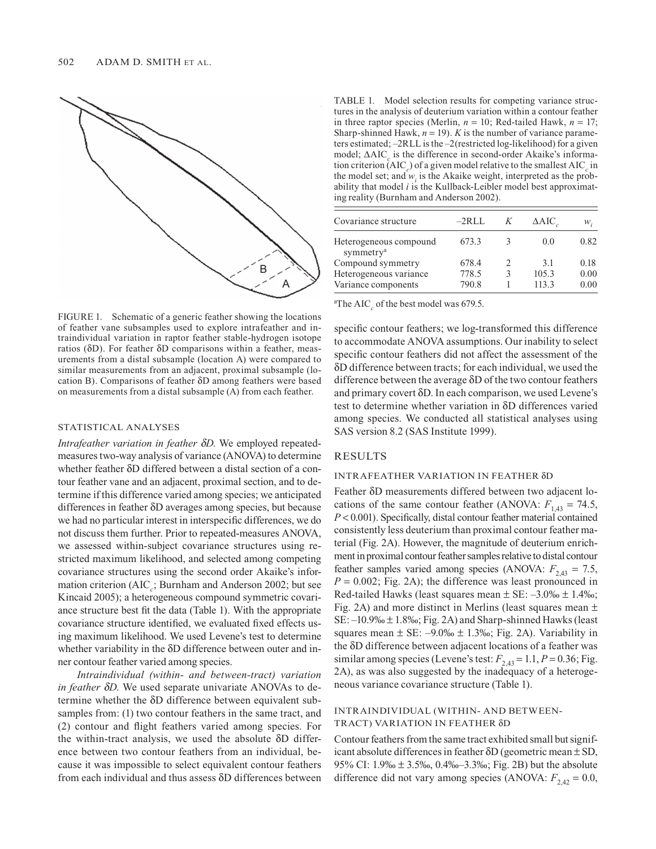

FIGURE 1. Schematic of a generic feather showing the locations of feather vane subsamples used to explore intrafeather and intraindividual variation in raptor feather stable-hydrogen isotope ratios ( $\delta$ D). For feather  $\delta$ D comparisons within a feather, measurements from a distal subsample (location A) were compared to similar measurements from an adjacent, proximal subsample (location B). Comparisons of feather δD among feathers were based on measurements from a distal subsample (A) from each feather.

### STATISTICAL ANALYSES

*Intrafeather variation in feather*  $\delta D$ *. We employed repeated*measures two-way analysis of variance (ANOVA) to determine whether feather  $\delta$ D differed between a distal section of a contour feather vane and an adjacent, proximal section, and to determine if this difference varied among species; we anticipated differences in feather  $\delta$ D averages among species, but because we had no particular interest in interspecific differences, we do not discuss them further. Prior to repeated-measures ANOVA, we assessed within-subject covariance structures using restricted maximum likelihood, and selected among competing covariance structures using the second order Akaike's information criterion (AIC<sub>c</sub>; Burnham and Anderson 2002; but see Kincaid 2005); a heterogeneous compound symmetric covariance structure best fit the data (Table 1). With the appropriate covariance structure identified, we evaluated fixed effects using maximum likelihood. We used Levene's test to determine whether variability in the  $\delta D$  difference between outer and inner contour feather varied among species.

*Intraindividual (within- and between-tract) variation in feather*  $\delta D$ *. We used separate univariate ANOVAs to de*termine whether the  $\delta$ D difference between equivalent subsamples from: (1) two contour feathers in the same tract, and (2) contour and flight feathers varied among species. For the within-tract analysis, we used the absolute  $\delta D$  difference between two contour feathers from an individual, because it was impossible to select equivalent contour feathers from each individual and thus assess  $\delta$ D differences between

TABLE 1. Model selection results for competing variance structures in the analysis of deuterium variation within a contour feather in three raptor species (Merlin,  $n = 10$ ; Red-tailed Hawk,  $n = 17$ ; Sharp-shinned Hawk,  $n = 19$ ). *K* is the number of variance parameters estimated; –2RLL is the –2(restricted log-likelihood) for a given model;  $\Delta AIC_c$  is the difference in second-order Akaike's information criterion (AIC<sub>*c*</sub>) of a given model relative to the smallest AIC<sub>*c*</sub> in the model set; and  $w_i$  is the Akaike weight, interpreted as the probability that model *i* is the Kullback-Leibler model best approximating reality (Burnham and Anderson 2002).

| Covariance structure                            | $-2RLL$ |   | ∆АІС  | w.   |
|-------------------------------------------------|---------|---|-------|------|
| Heterogeneous compound<br>symmetry <sup>a</sup> | 673.3   |   | 0.0   | 0.82 |
| Compound symmetry                               | 678.4   |   | 3.1   | 0.18 |
| Heterogeneous variance                          | 778.5   | 3 | 105.3 | 0.00 |
| Variance components                             | 790.8   |   | 113.3 | 0.00 |

<sup>a</sup>The AIC<sub>c</sub> of the best model was 679.5.

specific contour feathers; we log-transformed this difference to accommodate ANOVA assumptions. Our inability to select specific contour feathers did not affect the assessment of the DD difference between tracts; for each individual, we used the difference between the average  $\delta$ D of the two contour feathers and primary covert  $\delta D$ . In each comparison, we used Levene's test to determine whether variation in δD differences varied among species. We conducted all statistical analyses using SAS version 8.2 (SAS Institute 1999).

### RESULTS

### **INTRAFEATHER VARIATION IN FEATHER**  $\delta$ **D**

Feather  $\delta$ D measurements differed between two adjacent locations of the same contour feather (ANOVA:  $F_{1,43} = 74.5$ ,  $P < 0.001$ ). Specifically, distal contour feather material contained consistently less deuterium than proximal contour feather material (Fig. 2A). However, the magnitude of deuterium enrichment in proximal contour feather samples relative to distal contour feather samples varied among species (ANOVA:  $F_{2,43} = 7.5$ ,  $P = 0.002$ ; Fig. 2A); the difference was least pronounced in Red-tailed Hawks (least squares mean  $\pm$  SE:  $-3.0\%$   $\pm$  1.4‰; Fig. 2A) and more distinct in Merlins (least squares mean  $\pm$  $SE: -10.9\% \text{ of } 1.8\%$ ; Fig. 2A) and Sharp-shinned Hawks (least squares mean  $\pm$  SE: –9.0‰  $\pm$  1.3‰; Fig. 2A). Variability in the  $\delta$ D difference between adjacent locations of a feather was similar among species (Levene's test:  $F_{2,43} = 1.1$ ,  $P = 0.36$ ; Fig. 2A), as was also suggested by the inadequacy of a heterogeneous variance covariance structure (Table 1).

# INTRAINDIVIDUAL (WITHIN- AND BETWEEN-TRACT) VARIATION IN FEATHER δD

Contour feathers from the same tract exhibited small but significant absolute differences in feather  $\delta D$  (geometric mean  $\pm SD$ , 95% CI:  $1.9\% \pm 3.5\%$ , 0.4‰–3.3‰; Fig. 2B) but the absolute difference did not vary among species (ANOVA:  $F_{2,42} = 0.0$ ,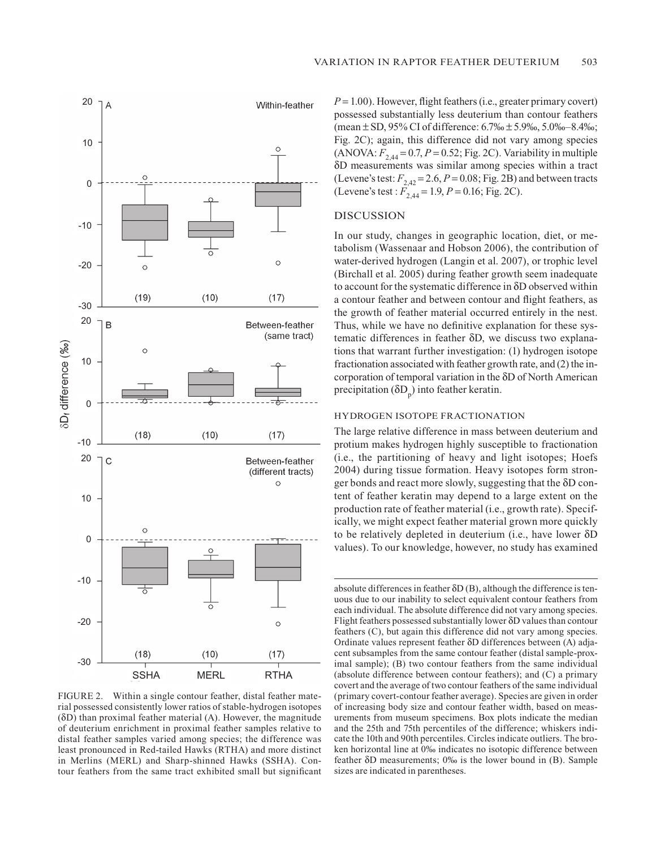

FIGURE 2. Within a single contour feather, distal feather material possessed consistently lower ratios of stable-hydrogen isotopes  $(\delta D)$  than proximal feather material  $(A)$ . However, the magnitude of deuterium enrichment in proximal feather samples relative to distal feather samples varied among species; the difference was least pronounced in Red-tailed Hawks (RTHA) and more distinct in Merlins (MERL) and Sharp-shinned Hawks (SSHA). Contour feathers from the same tract exhibited small but significant

 $P = 1.00$ ). However, flight feathers (i.e., greater primary covert) possessed substantially less deuterium than contour feathers (mean  $\pm$  SD, 95% CI of difference: 6.7‰  $\pm$  5.9‰, 5.0‰–8.4‰; Fig. 2C); again, this difference did not vary among species (ANOVA:  $F_{2,44} = 0.7$ ,  $P = 0.52$ ; Fig. 2C). Variability in multiple DD measurements was similar among species within a tract (Levene's test:  $F_{2,42} = 2.6$ ,  $P = 0.08$ ; Fig. 2B) and between tracts (Levene's test :  $\vec{F}_{2,44} = 1.9, P = 0.16$ ; Fig. 2C).

# DISCUSSION

In our study, changes in geographic location, diet, or metabolism (Wassenaar and Hobson 2006), the contribution of water-derived hydrogen (Langin et al. 2007), or trophic level (Birchall et al. 2005) during feather growth seem inadequate to account for the systematic difference in  $\delta D$  observed within a contour feather and between contour and flight feathers, as the growth of feather material occurred entirely in the nest. Thus, while we have no definitive explanation for these systematic differences in feather  $\delta D$ , we discuss two explanations that warrant further investigation: (1) hydrogen isotope fractionation associated with feather growth rate, and (2) the incorporation of temporal variation in the  $\delta D$  of North American precipitation  $(\delta D_p)$  into feather keratin.

### HYDROGEN ISOTOPE FRACTIONATION

The large relative difference in mass between deuterium and protium makes hydrogen highly susceptible to fractionation (i.e., the partitioning of heavy and light isotopes; Hoefs 2004) during tissue formation. Heavy isotopes form stronger bonds and react more slowly, suggesting that the  $\delta D$  content of feather keratin may depend to a large extent on the production rate of feather material (i.e., growth rate). Specifically, we might expect feather material grown more quickly to be relatively depleted in deuterium (i.e., have lower  $\delta D$ values). To our knowledge, however, no study has examined

absolute differences in feather  $\delta$ D $(B)$ , although the difference is tenuous due to our inability to select equivalent contour feathers from each individual. The absolute difference did not vary among species. Flight feathers possessed substantially lower  $\delta$ D values than contour feathers (C), but again this difference did not vary among species. Ordinate values represent feather  $\delta$ D differences between (A) adjacent subsamples from the same contour feather (distal sample-proximal sample); (B) two contour feathers from the same individual (absolute difference between contour feathers); and (C) a primary covert and the average of two contour feathers of the same individual (primary covert-contour feather average). Species are given in order of increasing body size and contour feather width, based on measurements from museum specimens. Box plots indicate the median and the 25th and 75th percentiles of the difference; whiskers indicate the 10th and 90th percentiles. Circles indicate outliers. The broken horizontal line at 0‰ indicates no isotopic difference between feather  $\delta$ D measurements; 0‰ is the lower bound in (B). Sample sizes are indicated in parentheses.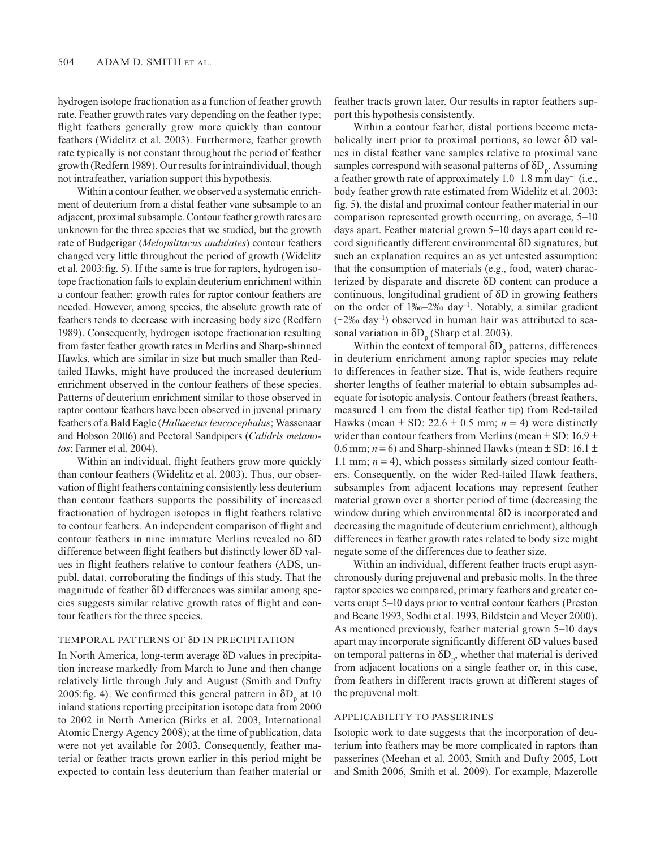hydrogen isotope fractionation as a function of feather growth rate. Feather growth rates vary depending on the feather type; flight feathers generally grow more quickly than contour feathers (Widelitz et al. 2003). Furthermore, feather growth rate typically is not constant throughout the period of feather growth (Redfern 1989). Our results for intraindividual, though not intrafeather, variation support this hypothesis.

Within a contour feather, we observed a systematic enrichment of deuterium from a distal feather vane subsample to an adjacent, proximal subsample. Contour feather growth rates are unknown for the three species that we studied, but the growth rate of Budgerigar (*Melopsittacus undulates*) contour feathers changed very little throughout the period of growth (Widelitz et al. 2003:fig. 5). If the same is true for raptors, hydrogen isotope fractionation fails to explain deuterium enrichment within a contour feather; growth rates for raptor contour feathers are needed. However, among species, the absolute growth rate of feathers tends to decrease with increasing body size (Redfern 1989). Consequently, hydrogen isotope fractionation resulting from faster feather growth rates in Merlins and Sharp-shinned Hawks, which are similar in size but much smaller than Redtailed Hawks, might have produced the increased deuterium enrichment observed in the contour feathers of these species. Patterns of deuterium enrichment similar to those observed in raptor contour feathers have been observed in juvenal primary feathers of a Bald Eagle (*Haliaeetus leucocephalus*; Wassenaar and Hobson 2006) and Pectoral Sandpipers (*Calidris melanotos*; Farmer et al. 2004).

Within an individual, flight feathers grow more quickly than contour feathers (Widelitz et al. 2003). Thus, our observation of flight feathers containing consistently less deuterium than contour feathers supports the possibility of increased fractionation of hydrogen isotopes in flight feathers relative to contour feathers. An independent comparison of flight and contour feathers in nine immature Merlins revealed no δD difference between flight feathers but distinctly lower  $\delta D$  values in flight feathers relative to contour feathers (ADS, unpubl. data), corroborating the findings of this study. That the magnitude of feather  $\delta$ D differences was similar among species suggests similar relative growth rates of flight and contour feathers for the three species.

#### TEMPORAL PATTERNS OF  $\delta$ D IN PRECIPITATION

In North America, long-term average  $\delta$ D values in precipitation increase markedly from March to June and then change relatively little through July and August (Smith and Dufty 2005:fig. 4). We confirmed this general pattern in  $\delta D_p$  at 10 inland stations reporting precipitation isotope data from 2000 to 2002 in North America (Birks et al. 2003, International Atomic Energy Agency 2008); at the time of publication, data were not yet available for 2003. Consequently, feather material or feather tracts grown earlier in this period might be expected to contain less deuterium than feather material or

feather tracts grown later. Our results in raptor feathers support this hypothesis consistently.

Within a contour feather, distal portions become metabolically inert prior to proximal portions, so lower  $\delta D$  values in distal feather vane samples relative to proximal vane samples correspond with seasonal patterns of  $\delta D_p$ . Assuming a feather growth rate of approximately  $1.0-1.8$  mm day<sup>-1</sup> (i.e., body feather growth rate estimated from Widelitz et al. 2003: fig. 5), the distal and proximal contour feather material in our comparison represented growth occurring, on average, 5–10 days apart. Feather material grown 5–10 days apart could record significantly different environmental  $\delta D$  signatures, but such an explanation requires an as yet untested assumption: that the consumption of materials (e.g., food, water) characterized by disparate and discrete  $\delta D$  content can produce a continuous, longitudinal gradient of  $\delta D$  in growing feathers on the order of 1‰–2‰ day <sup>1</sup> . Notably, a similar gradient (~2‰ day <sup>1</sup> ) observed in human hair was attributed to seasonal variation in  $\delta D_p$  (Sharp et al. 2003).

Within the context of temporal  $\delta D_p$  patterns, differences in deuterium enrichment among raptor species may relate to differences in feather size. That is, wide feathers require shorter lengths of feather material to obtain subsamples adequate for isotopic analysis. Contour feathers (breast feathers, measured 1 cm from the distal feather tip) from Red-tailed Hawks (mean  $\pm$  SD: 22.6  $\pm$  0.5 mm; *n* = 4) were distinctly wider than contour feathers from Merlins (mean  $\pm$  SD: 16.9  $\pm$ 0.6 mm;  $n = 6$ ) and Sharp-shinned Hawks (mean  $\pm$  SD: 16.1  $\pm$ 1.1 mm;  $n = 4$ ), which possess similarly sized contour feathers. Consequently, on the wider Red-tailed Hawk feathers, subsamples from adjacent locations may represent feather material grown over a shorter period of time (decreasing the window during which environmental  $\delta D$  is incorporated and decreasing the magnitude of deuterium enrichment), although differences in feather growth rates related to body size might negate some of the differences due to feather size.

Within an individual, different feather tracts erupt asynchronously during prejuvenal and prebasic molts. In the three raptor species we compared, primary feathers and greater coverts erupt 5–10 days prior to ventral contour feathers (Preston and Beane 1993, Sodhi et al. 1993, Bildstein and Meyer 2000). As mentioned previously, feather material grown 5–10 days apart may incorporate significantly different  $\delta D$  values based on temporal patterns in  $\delta D_p$ , whether that material is derived from adjacent locations on a single feather or, in this case, from feathers in different tracts grown at different stages of the prejuvenal molt.

### APPLICABILITY TO PASSERINES

Isotopic work to date suggests that the incorporation of deuterium into feathers may be more complicated in raptors than passerines (Meehan et al. 2003, Smith and Dufty 2005, Lott and Smith 2006, Smith et al. 2009). For example, Mazerolle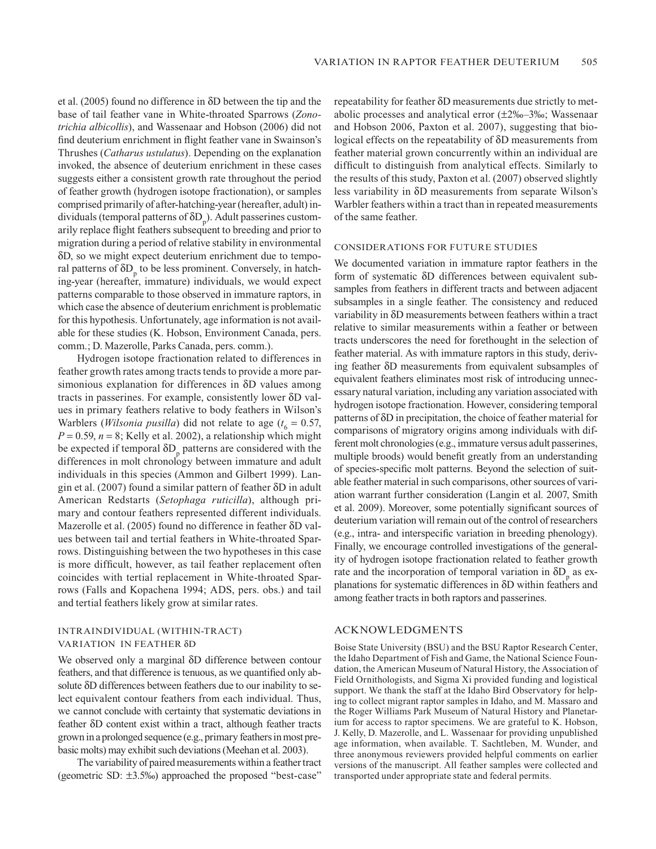et al.  $(2005)$  found no difference in  $\delta$ D between the tip and the base of tail feather vane in White-throated Sparrows (*Zonotrichia albicollis*), and Wassenaar and Hobson (2006) did not find deuterium enrichment in flight feather vane in Swainson's Thrushes (*Catharus ustulatus*). Depending on the explanation invoked, the absence of deuterium enrichment in these cases suggests either a consistent growth rate throughout the period of feather growth (hydrogen isotope fractionation), or samples comprised primarily of after-hatching-year (hereafter, adult) individuals (temporal patterns of  $\delta D_p$ ). Adult passerines customarily replace flight feathers subsequent to breeding and prior to migration during a period of relative stability in environmental DD, so we might expect deuterium enrichment due to temporal patterns of  $\delta D_p$  to be less prominent. Conversely, in hatching-year (hereafter, immature) individuals, we would expect patterns comparable to those observed in immature raptors, in which case the absence of deuterium enrichment is problematic for this hypothesis. Unfortunately, age information is not available for these studies (K. Hobson, Environment Canada, pers. comm.; D. Mazerolle, Parks Canada, pers. comm.).

Hydrogen isotope fractionation related to differences in feather growth rates among tracts tends to provide a more parsimonious explanation for differences in  $\delta$ D values among tracts in passerines. For example, consistently lower  $\delta$ D values in primary feathers relative to body feathers in Wilson's Warblers (*Wilsonia pusilla*) did not relate to age ( $t_6 = 0.57$ ,  $P = 0.59$ ,  $n = 8$ ; Kelly et al. 2002), a relationship which might be expected if temporal  $\delta D_p$  patterns are considered with the differences in molt chronology between immature and adult individuals in this species (Ammon and Gilbert 1999). Langin et al.  $(2007)$  found a similar pattern of feather  $\delta$ D in adult American Redstarts (*Setophaga ruticilla*), although primary and contour feathers represented different individuals. Mazerolle et al. (2005) found no difference in feather  $\delta$ D values between tail and tertial feathers in White-throated Sparrows. Distinguishing between the two hypotheses in this case is more difficult, however, as tail feather replacement often coincides with tertial replacement in White-throated Sparrows (Falls and Kopachena 1994; ADS, pers. obs.) and tail and tertial feathers likely grow at similar rates.

# INTRAINDIVIDUAL (WITHIN-TRACT) VARIATION IN FEATHER δD

We observed only a marginal  $\delta$ D difference between contour feathers, and that difference is tenuous, as we quantified only absolute  $\delta$ D differences between feathers due to our inability to select equivalent contour feathers from each individual. Thus, we cannot conclude with certainty that systematic deviations in feather  $\delta D$  content exist within a tract, although feather tracts grown in a prolonged sequence (e.g., primary feathers in most prebasic molts) may exhibit such deviations (Meehan et al. 2003).

The variability of paired measurements within a feather tract (geometric SD:  $\pm 3.5\%$ ) approached the proposed "best-case"

repeatability for feather  $\delta D$  measurements due strictly to metabolic processes and analytical error  $(\pm 2\% - 3\%)$ ; Wassenaar and Hobson 2006, Paxton et al. 2007), suggesting that biological effects on the repeatability of  $\delta D$  measurements from feather material grown concurrently within an individual are difficult to distinguish from analytical effects. Similarly to the results of this study, Paxton et al. (2007) observed slightly less variability in  $\delta D$  measurements from separate Wilson's Warbler feathers within a tract than in repeated measurements of the same feather.

### CONSIDERATIONS FOR FUTURE STUDIES

We documented variation in immature raptor feathers in the form of systematic  $\delta$ D differences between equivalent subsamples from feathers in different tracts and between adjacent subsamples in a single feather. The consistency and reduced variability in DD measurements between feathers within a tract relative to similar measurements within a feather or between tracts underscores the need for forethought in the selection of feather material. As with immature raptors in this study, deriving feather δD measurements from equivalent subsamples of equivalent feathers eliminates most risk of introducing unnecessary natural variation, including any variation associated with hydrogen isotope fractionation. However, considering temporal patterns of  $\delta D$  in precipitation, the choice of feather material for comparisons of migratory origins among individuals with different molt chronologies (e.g., immature versus adult passerines, multiple broods) would benefit greatly from an understanding of species-specific molt patterns. Beyond the selection of suitable feather material in such comparisons, other sources of variation warrant further consideration (Langin et al. 2007, Smith et al. 2009). Moreover, some potentially significant sources of deuterium variation will remain out of the control of researchers (e.g., intra- and interspecific variation in breeding phenology). Finally, we encourage controlled investigations of the generality of hydrogen isotope fractionation related to feather growth rate and the incorporation of temporal variation in  $\delta D_p$  as explanations for systematic differences in  $\delta D$  within feathers and among feather tracts in both raptors and passerines.

## ACKNOWLEDGMENTS

Boise State University (BSU) and the BSU Raptor Research Center, the Idaho Department of Fish and Game, the National Science Foundation, the American Museum of Natural History, the Association of Field Ornithologists, and Sigma Xi provided funding and logistical support. We thank the staff at the Idaho Bird Observatory for helping to collect migrant raptor samples in Idaho, and M. Massaro and the Roger Williams Park Museum of Natural History and Planetarium for access to raptor specimens. We are grateful to K. Hobson, J. Kelly, D. Mazerolle, and L. Wassenaar for providing unpublished age information, when available. T. Sachtleben, M. Wunder, and three anonymous reviewers provided helpful comments on earlier versions of the manuscript. All feather samples were collected and transported under appropriate state and federal permits.